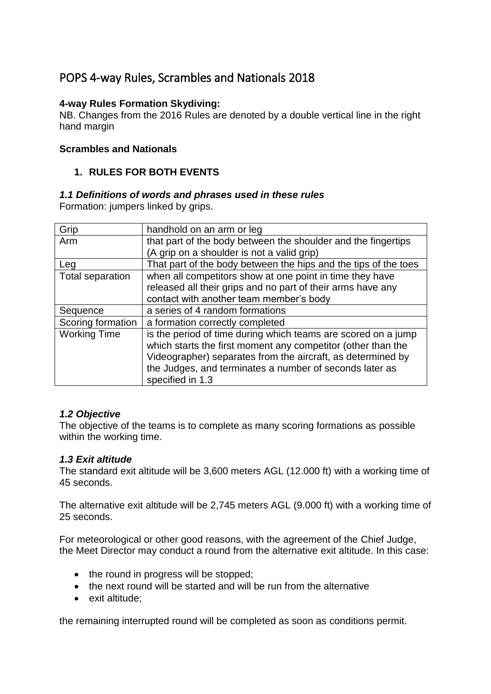# POPS 4-way Rules, Scrambles and Nationals 2018

# **4-way Rules Formation Skydiving:**

NB. Changes from the 2016 Rules are denoted by a double vertical line in the right hand margin

# **Scrambles and Nationals**

# **1. RULES FOR BOTH EVENTS**

# *1.1 Definitions of words and phrases used in these rules*

Formation: jumpers linked by grips.

| Grip                | handhold on an arm or leg                                       |
|---------------------|-----------------------------------------------------------------|
| Arm                 | that part of the body between the shoulder and the fingertips   |
|                     | (A grip on a shoulder is not a valid grip)                      |
| Leg                 | That part of the body between the hips and the tips of the toes |
| Total separation    | when all competitors show at one point in time they have        |
|                     | released all their grips and no part of their arms have any     |
|                     | contact with another team member's body                         |
| Sequence            | a series of 4 random formations                                 |
| Scoring formation   | a formation correctly completed                                 |
| <b>Working Time</b> | is the period of time during which teams are scored on a jump   |
|                     | which starts the first moment any competitor (other than the    |
|                     | Videographer) separates from the aircraft, as determined by     |
|                     | the Judges, and terminates a number of seconds later as         |
|                     | specified in 1.3                                                |

### *1.2 Objective*

The objective of the teams is to complete as many scoring formations as possible within the working time.

### *1.3 Exit altitude*

The standard exit altitude will be 3,600 meters AGL (12.000 ft) with a working time of 45 seconds.

The alternative exit altitude will be 2,745 meters AGL (9.000 ft) with a working time of 25 seconds.

For meteorological or other good reasons, with the agreement of the Chief Judge, the Meet Director may conduct a round from the alternative exit altitude. In this case:

- the round in progress will be stopped;
- the next round will be started and will be run from the alternative
- exit altitude;

the remaining interrupted round will be completed as soon as conditions permit.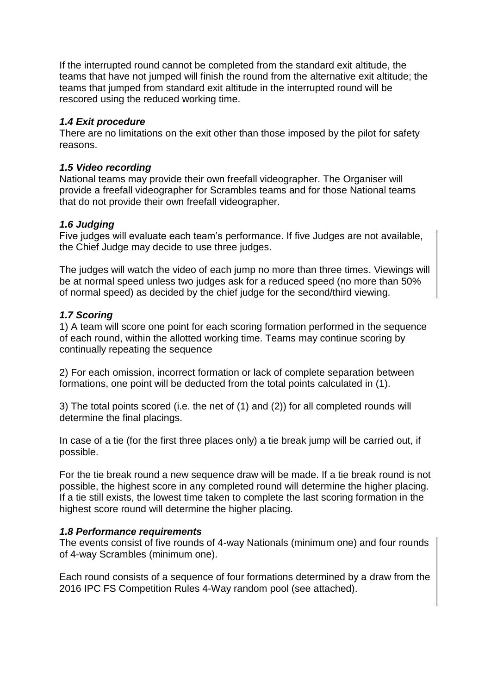If the interrupted round cannot be completed from the standard exit altitude, the teams that have not jumped will finish the round from the alternative exit altitude; the teams that jumped from standard exit altitude in the interrupted round will be rescored using the reduced working time.

# *1.4 Exit procedure*

There are no limitations on the exit other than those imposed by the pilot for safety reasons.

# *1.5 Video recording*

National teams may provide their own freefall videographer. The Organiser will provide a freefall videographer for Scrambles teams and for those National teams that do not provide their own freefall videographer.

# *1.6 Judging*

Five judges will evaluate each team's performance. If five Judges are not available, the Chief Judge may decide to use three judges.

The judges will watch the video of each jump no more than three times. Viewings will be at normal speed unless two judges ask for a reduced speed (no more than 50% of normal speed) as decided by the chief judge for the second/third viewing.

### *1.7 Scoring*

1) A team will score one point for each scoring formation performed in the sequence of each round, within the allotted working time. Teams may continue scoring by continually repeating the sequence

2) For each omission, incorrect formation or lack of complete separation between formations, one point will be deducted from the total points calculated in (1).

3) The total points scored (i.e. the net of (1) and (2)) for all completed rounds will determine the final placings.

In case of a tie (for the first three places only) a tie break jump will be carried out, if possible.

For the tie break round a new sequence draw will be made. If a tie break round is not possible, the highest score in any completed round will determine the higher placing. If a tie still exists, the lowest time taken to complete the last scoring formation in the highest score round will determine the higher placing.

### *1.8 Performance requirements*

The events consist of five rounds of 4-way Nationals (minimum one) and four rounds of 4-way Scrambles (minimum one).

Each round consists of a sequence of four formations determined by a draw from the 2016 IPC FS Competition Rules 4-Way random pool (see attached).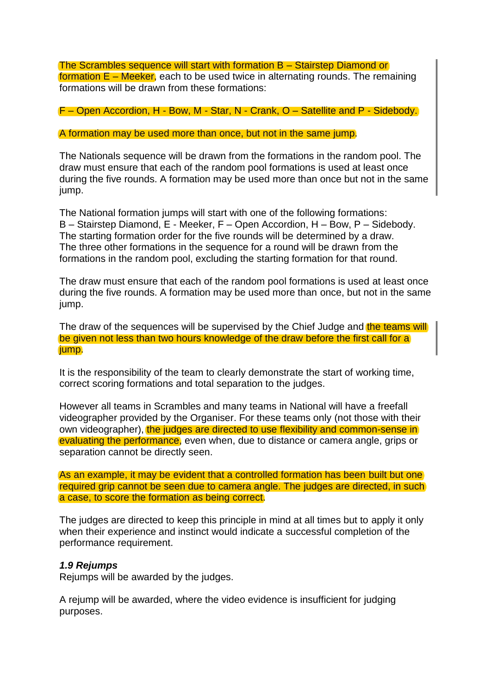The Scrambles sequence will start with formation B – Stairstep Diamond or formation  $E$  – Meeker, each to be used twice in alternating rounds. The remaining formations will be drawn from these formations:

F – Open Accordion, H - Bow, M - Star, N - Crank, O – Satellite and P - Sidebody.

A formation may be used more than once, but not in the same jump.

The Nationals sequence will be drawn from the formations in the random pool. The draw must ensure that each of the random pool formations is used at least once during the five rounds. A formation may be used more than once but not in the same jump.

The National formation jumps will start with one of the following formations: B – Stairstep Diamond, E - Meeker, F – Open Accordion, H – Bow, P – Sidebody. The starting formation order for the five rounds will be determined by a draw. The three other formations in the sequence for a round will be drawn from the formations in the random pool, excluding the starting formation for that round.

The draw must ensure that each of the random pool formations is used at least once during the five rounds. A formation may be used more than once, but not in the same jump.

The draw of the sequences will be supervised by the Chief Judge and the teams will be given not less than two hours knowledge of the draw before the first call for a jump.

It is the responsibility of the team to clearly demonstrate the start of working time, correct scoring formations and total separation to the judges.

However all teams in Scrambles and many teams in National will have a freefall videographer provided by the Organiser. For these teams only (not those with their own videographer), the judges are directed to use flexibility and common-sense in evaluating the performance, even when, due to distance or camera angle, grips or separation cannot be directly seen.

As an example, it may be evident that a controlled formation has been built but one required grip cannot be seen due to camera angle. The judges are directed, in such a case, to score the formation as being correct.

The judges are directed to keep this principle in mind at all times but to apply it only when their experience and instinct would indicate a successful completion of the performance requirement.

#### *1.9 Rejumps*

Rejumps will be awarded by the judges.

A rejump will be awarded, where the video evidence is insufficient for judging purposes.